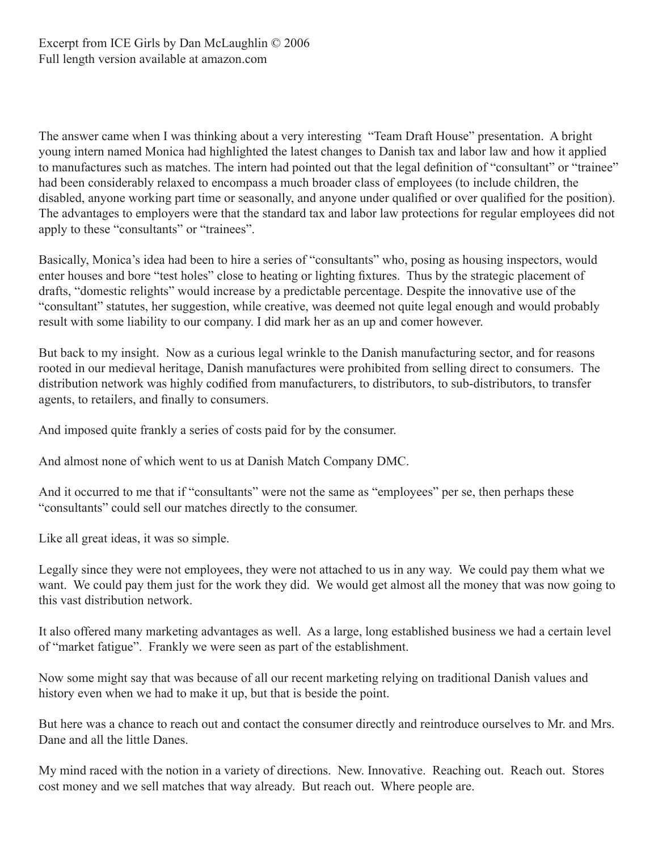The answer came when I was thinking about a very interesting "Team Draft House" presentation. A bright young intern named Monica had highlighted the latest changes to Danish tax and labor law and how it applied to manufactures such as matches. The intern had pointed out that the legal definition of "consultant" or "trainee" had been considerably relaxed to encompass a much broader class of employees (to include children, the disabled, anyone working part time or seasonally, and anyone under qualified or over qualified for the position). The advantages to employers were that the standard tax and labor law protections for regular employees did not apply to these "consultants" or "trainees".

Basically, Monica's idea had been to hire a series of "consultants" who, posing as housing inspectors, would enter houses and bore "test holes" close to heating or lighting fixtures. Thus by the strategic placement of drafts, "domestic relights" would increase by a predictable percentage. Despite the innovative use of the "consultant" statutes, her suggestion, while creative, was deemed not quite legal enough and would probably result with some liability to our company. I did mark her as an up and comer however.

But back to my insight. Now as a curious legal wrinkle to the Danish manufacturing sector, and for reasons rooted in our medieval heritage, Danish manufactures were prohibited from selling direct to consumers. The distribution network was highly codified from manufacturers, to distributors, to sub-distributors, to transfer agents, to retailers, and finally to consumers.

And imposed quite frankly a series of costs paid for by the consumer.

And almost none of which went to us at Danish Match Company DMC.

And it occurred to me that if "consultants" were not the same as "employees" per se, then perhaps these "consultants" could sell our matches directly to the consumer.

Like all great ideas, it was so simple.

Legally since they were not employees, they were not attached to us in any way. We could pay them what we want. We could pay them just for the work they did. We would get almost all the money that was now going to this vast distribution network.

It also offered many marketing advantages as well. As a large, long established business we had a certain level of "market fatigue". Frankly we were seen as part of the establishment.

Now some might say that was because of all our recent marketing relying on traditional Danish values and history even when we had to make it up, but that is beside the point.

But here was a chance to reach out and contact the consumer directly and reintroduce ourselves to Mr. and Mrs. Dane and all the little Danes.

My mind raced with the notion in a variety of directions. New. Innovative. Reaching out. Reach out. Stores cost money and we sell matches that way already. But reach out. Where people are.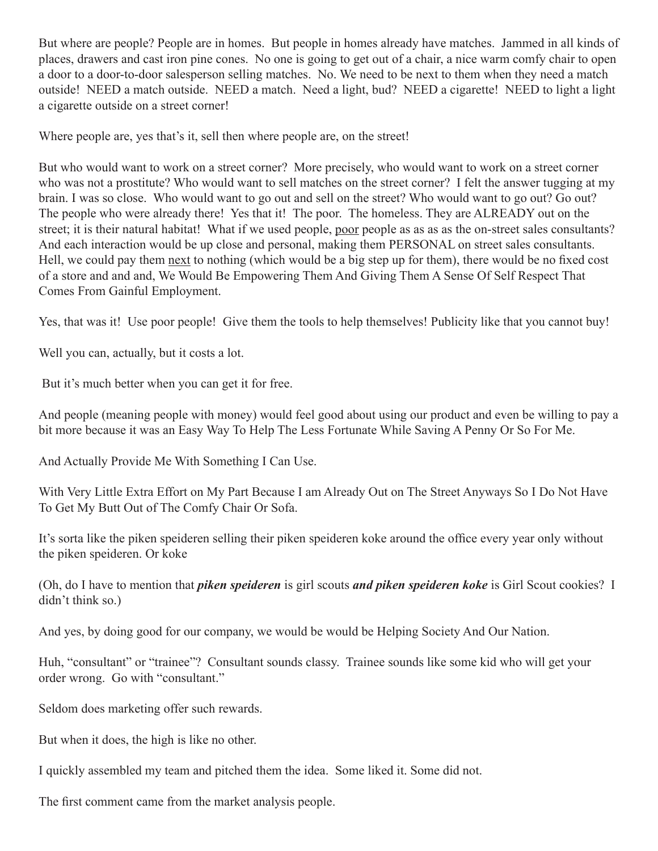But where are people? People are in homes. But people in homes already have matches. Jammed in all kinds of places, drawers and cast iron pine cones. No one is going to get out of a chair, a nice warm comfy chair to open a door to a door-to-door salesperson selling matches. No. We need to be next to them when they need a match outside! NEED a match outside. NEED a match. Need a light, bud? NEED a cigarette! NEED to light a light a cigarette outside on a street corner!

Where people are, yes that's it, sell then where people are, on the street!

But who would want to work on a street corner? More precisely, who would want to work on a street corner who was not a prostitute? Who would want to sell matches on the street corner? I felt the answer tugging at my brain. I was so close. Who would want to go out and sell on the street? Who would want to go out? Go out? The people who were already there! Yes that it! The poor. The homeless. They are ALREADY out on the street; it is their natural habitat! What if we used people, poor people as as as as the on-street sales consultants? And each interaction would be up close and personal, making them PERSONAL on street sales consultants. Hell, we could pay them next to nothing (which would be a big step up for them), there would be no fixed cost of a store and and and, We Would Be Empowering Them And Giving Them A Sense Of Self Respect That Comes From Gainful Employment.

Yes, that was it! Use poor people! Give them the tools to help themselves! Publicity like that you cannot buy!

Well you can, actually, but it costs a lot.

But it's much better when you can get it for free.

And people (meaning people with money) would feel good about using our product and even be willing to pay a bit more because it was an Easy Way To Help The Less Fortunate While Saving A Penny Or So For Me.

And Actually Provide Me With Something I Can Use.

With Very Little Extra Effort on My Part Because I am Already Out on The Street Anyways So I Do Not Have To Get My Butt Out of The Comfy Chair Or Sofa.

It's sorta like the piken speideren selling their piken speideren koke around the office every year only without the piken speideren. Or koke

(Oh, do I have to mention that *piken speideren* is girl scouts *and piken speideren koke* is Girl Scout cookies? I didn't think so.)

And yes, by doing good for our company, we would be would be Helping Society And Our Nation.

Huh, "consultant" or "trainee"? Consultant sounds classy. Trainee sounds like some kid who will get your order wrong. Go with "consultant."

Seldom does marketing offer such rewards.

But when it does, the high is like no other.

I quickly assembled my team and pitched them the idea. Some liked it. Some did not.

The first comment came from the market analysis people.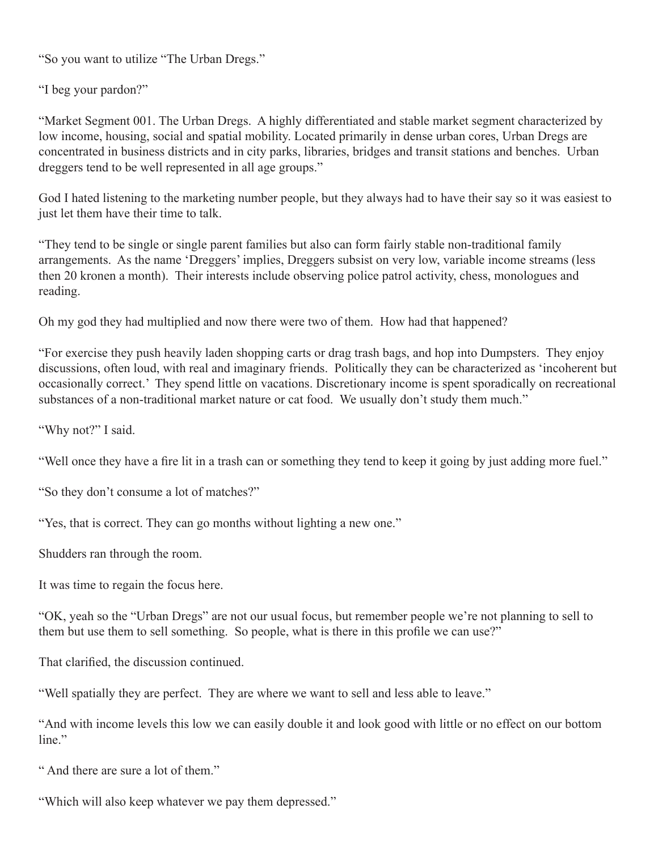"So you want to utilize "The Urban Dregs."

"I beg your pardon?"

"Market Segment 001. The Urban Dregs. A highly differentiated and stable market segment characterized by low income, housing, social and spatial mobility. Located primarily in dense urban cores, Urban Dregs are concentrated in business districts and in city parks, libraries, bridges and transit stations and benches. Urban dreggers tend to be well represented in all age groups."

God I hated listening to the marketing number people, but they always had to have their say so it was easiest to just let them have their time to talk.

"They tend to be single or single parent families but also can form fairly stable non-traditional family arrangements. As the name 'Dreggers' implies, Dreggers subsist on very low, variable income streams (less then 20 kronen a month). Their interests include observing police patrol activity, chess, monologues and reading.

Oh my god they had multiplied and now there were two of them. How had that happened?

"For exercise they push heavily laden shopping carts or drag trash bags, and hop into Dumpsters. They enjoy discussions, often loud, with real and imaginary friends. Politically they can be characterized as 'incoherent but occasionally correct.' They spend little on vacations. Discretionary income is spent sporadically on recreational substances of a non-traditional market nature or cat food. We usually don't study them much."

"Why not?" I said.

"Well once they have a fire lit in a trash can or something they tend to keep it going by just adding more fuel."

"So they don't consume a lot of matches?"

"Yes, that is correct. They can go months without lighting a new one."

Shudders ran through the room.

It was time to regain the focus here.

"OK, yeah so the "Urban Dregs" are not our usual focus, but remember people we're not planning to sell to them but use them to sell something. So people, what is there in this profile we can use?"

That clarified, the discussion continued.

"Well spatially they are perfect. They are where we want to sell and less able to leave."

"And with income levels this low we can easily double it and look good with little or no effect on our bottom line."

" And there are sure a lot of them."

"Which will also keep whatever we pay them depressed."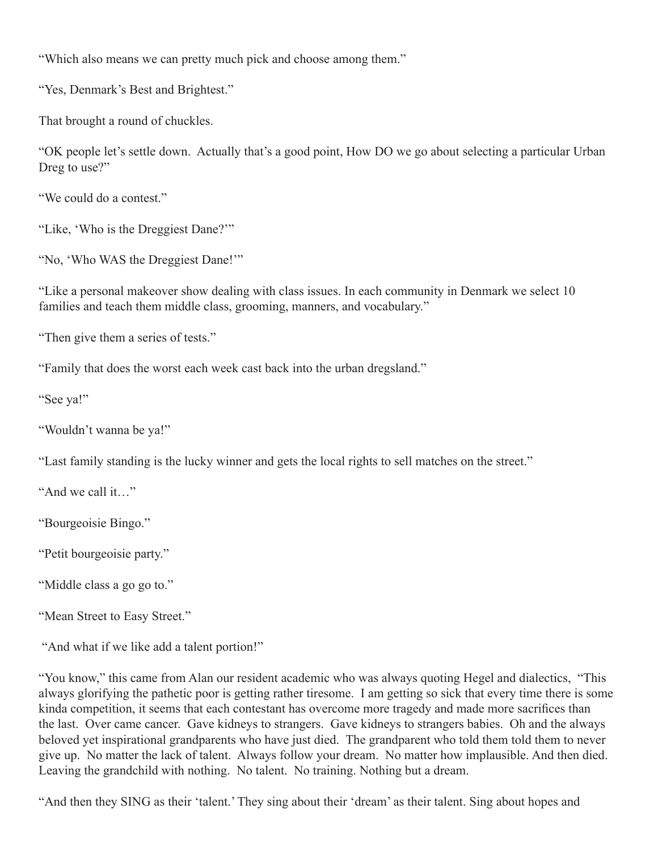"Which also means we can pretty much pick and choose among them."

"Yes, Denmark's Best and Brightest."

That brought a round of chuckles.

"OK people let's settle down. Actually that's a good point, How DO we go about selecting a particular Urban Dreg to use?"

"We could do a contest."

"Like, 'Who is the Dreggiest Dane?'"

"No, 'Who WAS the Dreggiest Dane!'"

"Like a personal makeover show dealing with class issues. In each community in Denmark we select 10 families and teach them middle class, grooming, manners, and vocabulary."

"Then give them a series of tests."

"Family that does the worst each week cast back into the urban dregsland."

"See ya!"

"Wouldn't wanna be ya!"

"Last family standing is the lucky winner and gets the local rights to sell matches on the street."

"And we call it…"

"Bourgeoisie Bingo."

"Petit bourgeoisie party."

"Middle class a go go to."

"Mean Street to Easy Street."

"And what if we like add a talent portion!"

"You know," this came from Alan our resident academic who was always quoting Hegel and dialectics, "This always glorifying the pathetic poor is getting rather tiresome. I am getting so sick that every time there is some kinda competition, it seems that each contestant has overcome more tragedy and made more sacrifices than the last. Over came cancer. Gave kidneys to strangers. Gave kidneys to strangers babies. Oh and the always beloved yet inspirational grandparents who have just died. The grandparent who told them told them to never give up. No matter the lack of talent. Always follow your dream. No matter how implausible. And then died. Leaving the grandchild with nothing. No talent. No training. Nothing but a dream.

"And then they SING as their 'talent.' They sing about their 'dream' as their talent. Sing about hopes and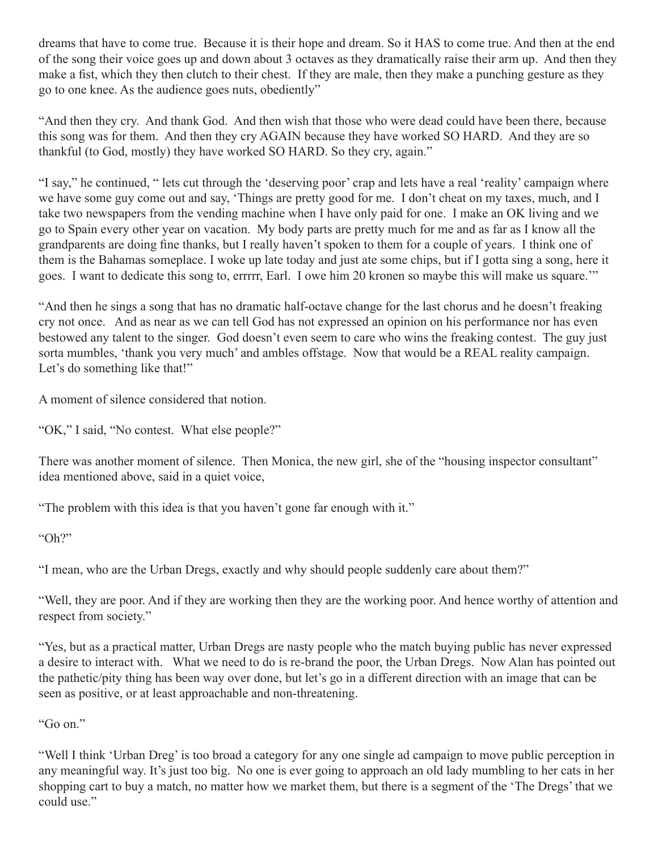dreams that have to come true. Because it is their hope and dream. So it HAS to come true. And then at the end of the song their voice goes up and down about 3 octaves as they dramatically raise their arm up. And then they make a fist, which they then clutch to their chest. If they are male, then they make a punching gesture as they go to one knee. As the audience goes nuts, obediently"

"And then they cry. And thank God. And then wish that those who were dead could have been there, because this song was for them. And then they cry AGAIN because they have worked SO HARD. And they are so thankful (to God, mostly) they have worked SO HARD. So they cry, again."

"I say," he continued, " lets cut through the 'deserving poor' crap and lets have a real 'reality' campaign where we have some guy come out and say, 'Things are pretty good for me. I don't cheat on my taxes, much, and I take two newspapers from the vending machine when I have only paid for one. I make an OK living and we go to Spain every other year on vacation. My body parts are pretty much for me and as far as I know all the grandparents are doing fine thanks, but I really haven't spoken to them for a couple of years. I think one of them is the Bahamas someplace. I woke up late today and just ate some chips, but if I gotta sing a song, here it goes. I want to dedicate this song to, errrrr, Earl. I owe him 20 kronen so maybe this will make us square.'"

"And then he sings a song that has no dramatic half-octave change for the last chorus and he doesn't freaking cry not once. And as near as we can tell God has not expressed an opinion on his performance nor has even bestowed any talent to the singer. God doesn't even seem to care who wins the freaking contest. The guy just sorta mumbles, 'thank you very much' and ambles offstage. Now that would be a REAL reality campaign. Let's do something like that!"

A moment of silence considered that notion.

"OK," I said, "No contest. What else people?"

There was another moment of silence. Then Monica, the new girl, she of the "housing inspector consultant" idea mentioned above, said in a quiet voice,

"The problem with this idea is that you haven't gone far enough with it."

"Oh?"

"I mean, who are the Urban Dregs, exactly and why should people suddenly care about them?"

"Well, they are poor. And if they are working then they are the working poor. And hence worthy of attention and respect from society."

"Yes, but as a practical matter, Urban Dregs are nasty people who the match buying public has never expressed a desire to interact with. What we need to do is re-brand the poor, the Urban Dregs. Now Alan has pointed out the pathetic/pity thing has been way over done, but let's go in a different direction with an image that can be seen as positive, or at least approachable and non-threatening.

" $G$  on"

"Well I think 'Urban Dreg' is too broad a category for any one single ad campaign to move public perception in any meaningful way. It's just too big. No one is ever going to approach an old lady mumbling to her cats in her shopping cart to buy a match, no matter how we market them, but there is a segment of the 'The Dregs' that we could use."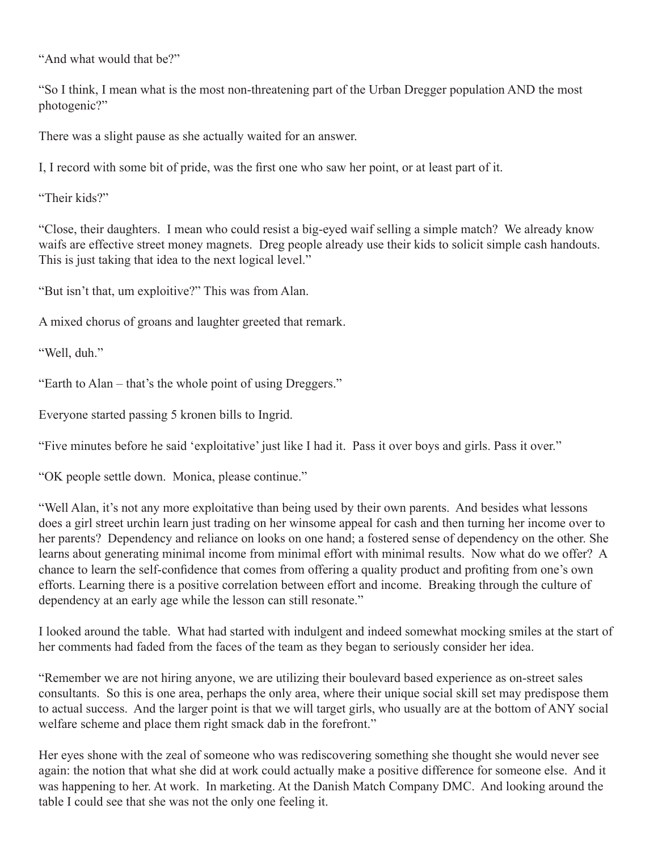"And what would that be?"

"So I think, I mean what is the most non-threatening part of the Urban Dregger population AND the most photogenic?"

There was a slight pause as she actually waited for an answer.

I, I record with some bit of pride, was the first one who saw her point, or at least part of it.

"Their kids?"

"Close, their daughters. I mean who could resist a big-eyed waif selling a simple match? We already know waifs are effective street money magnets. Dreg people already use their kids to solicit simple cash handouts. This is just taking that idea to the next logical level."

"But isn't that, um exploitive?" This was from Alan.

A mixed chorus of groans and laughter greeted that remark.

"Well, duh."

"Earth to Alan – that's the whole point of using Dreggers."

Everyone started passing 5 kronen bills to Ingrid.

"Five minutes before he said 'exploitative' just like I had it. Pass it over boys and girls. Pass it over."

"OK people settle down. Monica, please continue."

"Well Alan, it's not any more exploitative than being used by their own parents. And besides what lessons does a girl street urchin learn just trading on her winsome appeal for cash and then turning her income over to her parents? Dependency and reliance on looks on one hand; a fostered sense of dependency on the other. She learns about generating minimal income from minimal effort with minimal results. Now what do we offer? A chance to learn the self-confidence that comes from offering a quality product and profiting from one's own efforts. Learning there is a positive correlation between effort and income. Breaking through the culture of dependency at an early age while the lesson can still resonate."

I looked around the table. What had started with indulgent and indeed somewhat mocking smiles at the start of her comments had faded from the faces of the team as they began to seriously consider her idea.

"Remember we are not hiring anyone, we are utilizing their boulevard based experience as on-street sales consultants. So this is one area, perhaps the only area, where their unique social skill set may predispose them to actual success. And the larger point is that we will target girls, who usually are at the bottom of ANY social welfare scheme and place them right smack dab in the forefront."

Her eyes shone with the zeal of someone who was rediscovering something she thought she would never see again: the notion that what she did at work could actually make a positive difference for someone else. And it was happening to her. At work. In marketing. At the Danish Match Company DMC. And looking around the table I could see that she was not the only one feeling it.